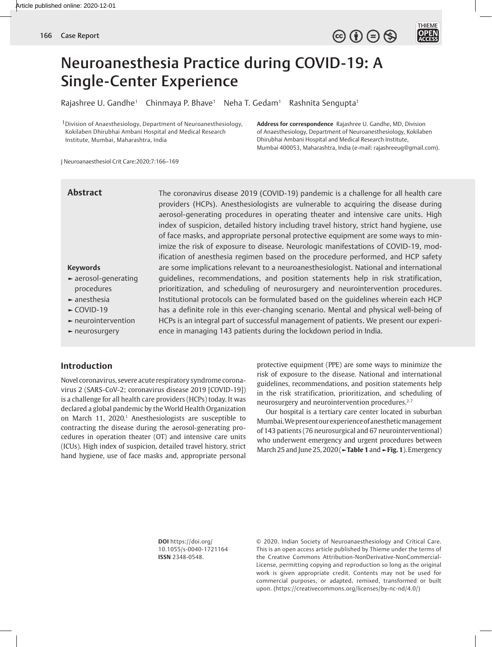

# Neuroanesthesia Practice during COVID-19: A Single-Center Experience

Rajashree U. Gandhe<sup>1</sup> Chinmaya P. Bhave<sup>1</sup> Neha T. Gedam<sup>1</sup> Rashnita Sengupta<sup>1</sup>

1Division of Anaesthesiology, Department of Neuroanesthesiology, Kokilaben Dhirubhai Ambani Hospital and Medical Research Institute, Mumbai, Maharashtra, India

**Address for correspondence** Rajashree U. Gandhe, MD, Division of Anaesthesiology, Department of Neuroanesthesiology, Kokilaben Dhirubhai Ambani Hospital and Medical Research Institute, Mumbai 400053, Maharashtra, India (e-mail: rajashreeug@gmail.com).

J Neuroanaesthesiol Crit Care:2020;7:166–169

# **Abstract**

The coronavirus disease 2019 (COVID-19) pandemic is a challenge for all health care providers (HCPs). Anesthesiologists are vulnerable to acquiring the disease during aerosol-generating procedures in operating theater and intensive care units. High index of suspicion, detailed history including travel history, strict hand hygiene, use of face masks, and appropriate personal protective equipment are some ways to minimize the risk of exposure to disease. Neurologic manifestations of COVID-19, modification of anesthesia regimen based on the procedure performed, and HCP safety are some implications relevant to a neuroanesthesiologist. National and international guidelines, recommendations, and position statements help in risk stratification, prioritization, and scheduling of neurosurgery and neurointervention procedures. Institutional protocols can be formulated based on the guidelines wherein each HCP has a definite role in this ever-changing scenario. Mental and physical well-being of HCPs is an integral part of successful management of patients. We present our experience in managing 143 patients during the lockdown period in India.

#### **Keywords**

- **►** aerosol-generating procedures
- **►** anesthesia
- **►** COVID-19
- **►** neurointervention
- **►** neurosurgery

# **Introduction**

Novel coronavirus, severe acute respiratory syndrome coronavirus 2 (SARS-CoV-2; coronavirus disease 2019 [COVID-19]) is a challenge for all health care providers (HCPs) today. It was declared a global pandemic by the World Health Organization on March 11, 2020.<sup>1</sup> Anesthesiologists are susceptible to contracting the disease during the aerosol-generating procedures in operation theater (OT) and intensive care units (ICUs). High index of suspicion, detailed travel history, strict hand hygiene, use of face masks and, appropriate personal

protective equipment (PPE) are some ways to minimize the risk of exposure to the disease. National and international guidelines, recommendations, and position statements help in the risk stratification, prioritization, and scheduling of neurosurgery and neurointervention procedures.<sup>2-7</sup>

Our hospital is a tertiary care center located in suburban Mumbai. We present our experience of anesthetic management of 143 patients (76 neurosurgical and 67 neurointerventional) who underwent emergency and urgent procedures between March 25 and June 25, 2020 (**►Table 1** and **►Fig. 1**). Emergency

**DOI** https://doi.org/ 10.1055/s-0040-1721164 **ISSN** 2348-0548.

© 2020. Indian Society of Neuroanaesthesiology and Critical Care. This is an open access article published by Thieme under the terms of the Creative Commons Attribution-NonDerivative-NonCommercial-License, permitting copying and reproduction so long as the original work is given appropriate credit. Contents may not be used for commercial purposes, or adapted, remixed, transformed or built upon. (https://creativecommons.org/licenses/by-nc-nd/4.0/)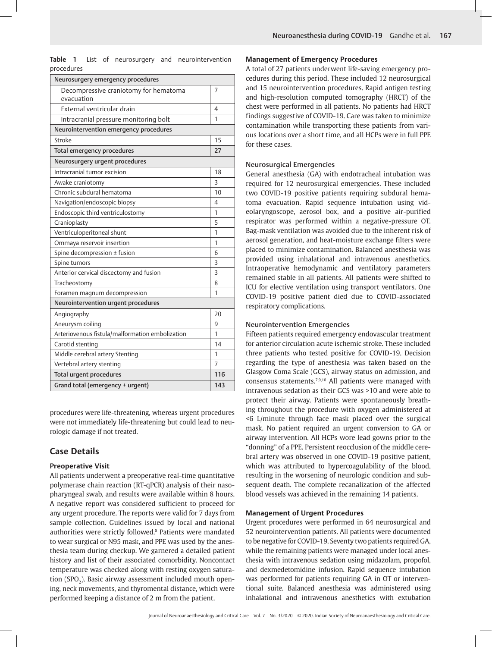**Table 1** List of neurosurgery and neurointervention procedures

| Neurosurgery emergency procedures                   |     |
|-----------------------------------------------------|-----|
| Decompressive craniotomy for hematoma<br>evacuation | 7   |
| External ventricular drain                          | 4   |
| Intracranial pressure monitoring bolt               | 1   |
| Neurointervention emergency procedures              |     |
| Stroke                                              | 15  |
| <b>Total emergency procedures</b>                   | 27  |
| Neurosurgery urgent procedures                      |     |
| Intracranial tumor excision                         | 18  |
| Awake craniotomy                                    | 3   |
| Chronic subdural hematoma                           | 10  |
| Navigation/endoscopic biopsy                        | 4   |
| Endoscopic third ventriculostomy                    | 1   |
| Cranioplasty                                        | 5   |
| Ventriculoperitoneal shunt                          | 1   |
| Ommaya reservoir insertion                          | 1   |
| Spine decompression ± fusion                        | 6   |
| Spine tumors                                        | 3   |
| Anterior cervical discectomy and fusion             | 3   |
| Tracheostomy                                        | 8   |
| Foramen magnum decompression                        | 1   |
| Neurointervention urgent procedures                 |     |
| Angiography                                         | 20  |
| Aneurysm coiling                                    | 9   |
| Arteriovenous fistula/malformation embolization     | 1   |
| Carotid stenting                                    | 14  |
| Middle cerebral artery Stenting                     | 1   |
| Vertebral artery stenting                           | 7   |
| <b>Total urgent procedures</b>                      | 116 |
| Grand total (emergency + urgent)                    | 143 |
|                                                     |     |

procedures were life-threatening, whereas urgent procedures were not immediately life-threatening but could lead to neurologic damage if not treated.

# **Case Details**

#### **Preoperative Visit**

All patients underwent a preoperative real-time quantitative polymerase chain reaction (RT-qPCR) analysis of their nasopharyngeal swab, and results were available within 8 hours. A negative report was considered sufficient to proceed for any urgent procedure. The reports were valid for 7 days from sample collection. Guidelines issued by local and national authorities were strictly followed.<sup>8</sup> Patients were mandated to wear surgical or N95 mask, and PPE was used by the anesthesia team during checkup. We garnered a detailed patient history and list of their associated comorbidity. Noncontact temperature was checked along with resting oxygen saturation (SPO $_{\textrm{\tiny{2}}}$ ). Basic airway assessment included mouth opening, neck movements, and thyromental distance, which were performed keeping a distance of 2 m from the patient.

#### **Management of Emergency Procedures**

A total of 27 patients underwent life-saving emergency procedures during this period. These included 12 neurosurgical and 15 neurointervention procedures. Rapid antigen testing and high-resolution computed tomography (HRCT) of the chest were performed in all patients. No patients had HRCT findings suggestive of COVID-19. Care was taken to minimize contamination while transporting these patients from various locations over a short time, and all HCPs were in full PPE for these cases.

#### Neurosurgical Emergencies

General anesthesia (GA) with endotracheal intubation was required for 12 neurosurgical emergencies. These included two COVID-19 positive patients requiring subdural hematoma evacuation. Rapid sequence intubation using videolaryngoscope, aerosol box, and a positive air-purified respirator was performed within a negative-pressure OT. Bag-mask ventilation was avoided due to the inherent risk of aerosol generation, and heat-moisture exchange filters were placed to minimize contamination. Balanced anesthesia was provided using inhalational and intravenous anesthetics. Intraoperative hemodynamic and ventilatory parameters remained stable in all patients. All patients were shifted to ICU for elective ventilation using transport ventilators. One COVID-19 positive patient died due to COVID-associated respiratory complications.

#### Neurointervention Emergencies

Fifteen patients required emergency endovascular treatment for anterior circulation acute ischemic stroke. These included three patients who tested positive for COVID-19. Decision regarding the type of anesthesia was taken based on the Glasgow Coma Scale (GCS), airway status on admission, and consensus statements.7,9,10 All patients were managed with intravenous sedation as their GCS was >10 and were able to protect their airway. Patients were spontaneously breathing throughout the procedure with oxygen administered at <6 L/minute through face mask placed over the surgical mask. No patient required an urgent conversion to GA or airway intervention. All HCPs wore lead gowns prior to the "donning" of a PPE. Persistent reocclusion of the middle cerebral artery was observed in one COVID-19 positive patient, which was attributed to hypercoagulability of the blood, resulting in the worsening of neurologic condition and subsequent death. The complete recanalization of the affected blood vessels was achieved in the remaining 14 patients.

#### **Management of Urgent Procedures**

Urgent procedures were performed in 64 neurosurgical and 52 neurointervention patients. All patients were documented to be negative for COVID-19. Seventy two patients required GA, while the remaining patients were managed under local anesthesia with intravenous sedation using midazolam, propofol, and dexmedetomidine infusion. Rapid sequence intubation was performed for patients requiring GA in OT or interventional suite. Balanced anesthesia was administered using inhalational and intravenous anesthetics with extubation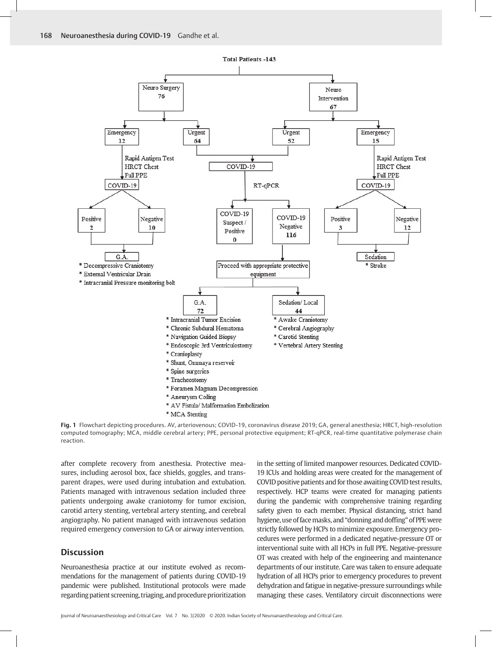

**Fig. 1** Flowchart depicting procedures. AV, arteriovenous; COVID-19, coronavirus disease 2019; GA, general anesthesia; HRCT, high-resolution computed tomography; MCA, middle cerebral artery; PPE, personal protective equipment; RT-qPCR, real-time quantitative polymerase chain reaction.

after complete recovery from anesthesia. Protective measures, including aerosol box, face shields, goggles, and transparent drapes, were used during intubation and extubation. Patients managed with intravenous sedation included three patients undergoing awake craniotomy for tumor excision, carotid artery stenting, vertebral artery stenting, and cerebral angiography. No patient managed with intravenous sedation required emergency conversion to GA or airway intervention.

## **Discussion**

Neuroanesthesia practice at our institute evolved as recommendations for the management of patients during COVID-19 pandemic were published. Institutional protocols were made regarding patient screening, triaging, and procedure prioritization in the setting of limited manpower resources. Dedicated COVID-19 ICUs and holding areas were created for the management of COVID positive patients and for those awaiting COVID test results, respectively. HCP teams were created for managing patients during the pandemic with comprehensive training regarding safety given to each member. Physical distancing, strict hand hygiene, use of face masks, and "donning and doffing" of PPE were strictly followed by HCPs to minimize exposure. Emergency procedures were performed in a dedicated negative-pressure OT or interventional suite with all HCPs in full PPE. Negative-pressure OT was created with help of the engineering and maintenance departments of our institute. Care was taken to ensure adequate hydration of all HCPs prior to emergency procedures to prevent dehydration and fatigue in negative-pressure surroundings while managing these cases. Ventilatory circuit disconnections were